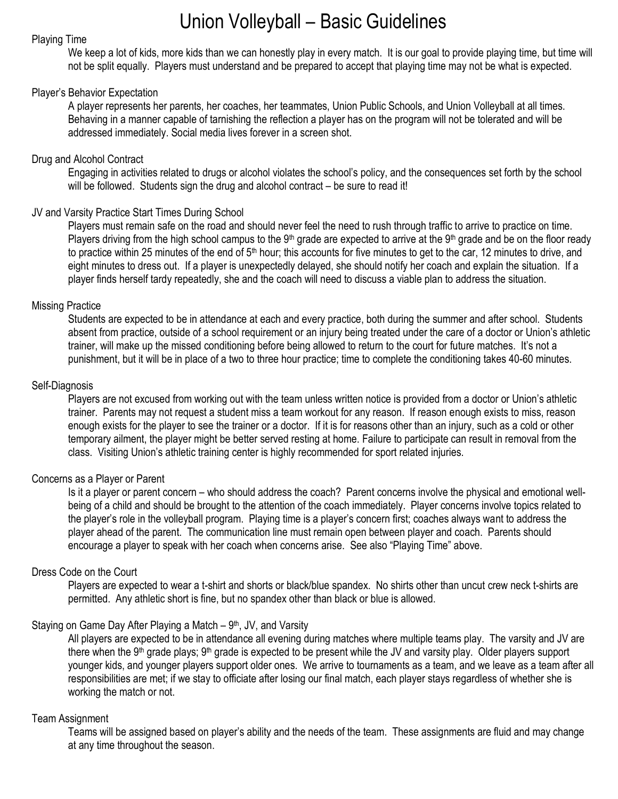# Union Volleyball – Basic Guidelines

## Playing Time

We keep a lot of kids, more kids than we can honestly play in every match. It is our goal to provide playing time, but time will not be split equally. Players must understand and be prepared to accept that playing time may not be what is expected.

# Player's Behavior Expectation

A player represents her parents, her coaches, her teammates, Union Public Schools, and Union Volleyball at all times. Behaving in a manner capable of tarnishing the reflection a player has on the program will not be tolerated and will be addressed immediately. Social media lives forever in a screen shot.

## Drug and Alcohol Contract

Engaging in activities related to drugs or alcohol violates the school's policy, and the consequences set forth by the school will be followed. Students sign the drug and alcohol contract – be sure to read it!

# JV and Varsity Practice Start Times During School

Players must remain safe on the road and should never feel the need to rush through traffic to arrive to practice on time. Players driving from the high school campus to the 9<sup>th</sup> grade are expected to arrive at the 9<sup>th</sup> grade and be on the floor ready to practice within 25 minutes of the end of 5<sup>th</sup> hour; this accounts for five minutes to get to the car, 12 minutes to drive, and eight minutes to dress out. If a player is unexpectedly delayed, she should notify her coach and explain the situation. If a player finds herself tardy repeatedly, she and the coach will need to discuss a viable plan to address the situation.

# Missing Practice

Students are expected to be in attendance at each and every practice, both during the summer and after school. Students absent from practice, outside of a school requirement or an injury being treated under the care of a doctor or Union's athletic trainer, will make up the missed conditioning before being allowed to return to the court for future matches. It's not a punishment, but it will be in place of a two to three hour practice; time to complete the conditioning takes 40-60 minutes.

## Self-Diagnosis

Players are not excused from working out with the team unless written notice is provided from a doctor or Union's athletic trainer. Parents may not request a student miss a team workout for any reason. If reason enough exists to miss, reason enough exists for the player to see the trainer or a doctor. If it is for reasons other than an injury, such as a cold or other temporary ailment, the player might be better served resting at home. Failure to participate can result in removal from the class. Visiting Union's athletic training center is highly recommended for sport related injuries.

# Concerns as a Player or Parent

Is it a player or parent concern – who should address the coach? Parent concerns involve the physical and emotional wellbeing of a child and should be brought to the attention of the coach immediately. Player concerns involve topics related to the player's role in the volleyball program. Playing time is a player's concern first; coaches always want to address the player ahead of the parent. The communication line must remain open between player and coach. Parents should encourage a player to speak with her coach when concerns arise. See also "Playing Time" above.

# Dress Code on the Court

Players are expected to wear a t-shirt and shorts or black/blue spandex. No shirts other than uncut crew neck t-shirts are permitted. Any athletic short is fine, but no spandex other than black or blue is allowed.

# Staying on Game Day After Playing a Match – 9<sup>th</sup>, JV, and Varsity

All players are expected to be in attendance all evening during matches where multiple teams play. The varsity and JV are there when the 9<sup>th</sup> grade plays; 9<sup>th</sup> grade is expected to be present while the JV and varsity play. Older players support younger kids, and younger players support older ones. We arrive to tournaments as a team, and we leave as a team after all responsibilities are met; if we stay to officiate after losing our final match, each player stays regardless of whether she is working the match or not.

#### Team Assignment

Teams will be assigned based on player's ability and the needs of the team. These assignments are fluid and may change at any time throughout the season.